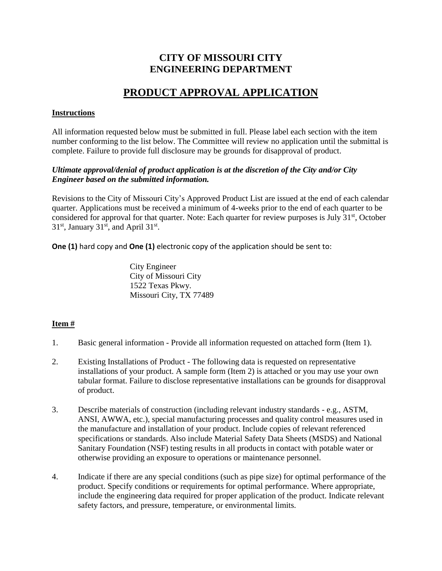### **CITY OF MISSOURI CITY ENGINEERING DEPARTMENT**

# **PRODUCT APPROVAL APPLICATION**

#### **Instructions**

All information requested below must be submitted in full. Please label each section with the item number conforming to the list below. The Committee will review no application until the submittal is complete. Failure to provide full disclosure may be grounds for disapproval of product.

#### *Ultimate approval/denial of product application is at the discretion of the City and/or City Engineer based on the submitted information.*

Revisions to the City of Missouri City's Approved Product List are issued at the end of each calendar quarter. Applications must be received a minimum of 4-weeks prior to the end of each quarter to be considered for approval for that quarter. Note: Each quarter for review purposes is July  $31<sup>st</sup>$ , October  $31<sup>st</sup>$ , January  $31<sup>st</sup>$ , and April  $31<sup>st</sup>$ .

**One (1)** hard copy and **One (1)** electronic copy of the application should be sent to:

City Engineer City of Missouri City 1522 Texas Pkwy. Missouri City, TX 77489

### **Item #**

- 1. Basic general information Provide all information requested on attached form (Item 1).
- 2. Existing Installations of Product The following data is requested on representative installations of your product. A sample form (Item 2) is attached or you may use your own tabular format. Failure to disclose representative installations can be grounds for disapproval of product.
- 3. Describe materials of construction (including relevant industry standards e.g., ASTM, ANSI, AWWA, etc.), special manufacturing processes and quality control measures used in the manufacture and installation of your product. Include copies of relevant referenced specifications or standards. Also include Material Safety Data Sheets (MSDS) and National Sanitary Foundation (NSF) testing results in all products in contact with potable water or otherwise providing an exposure to operations or maintenance personnel.
- 4. Indicate if there are any special conditions (such as pipe size) for optimal performance of the product. Specify conditions or requirements for optimal performance. Where appropriate, include the engineering data required for proper application of the product. Indicate relevant safety factors, and pressure, temperature, or environmental limits.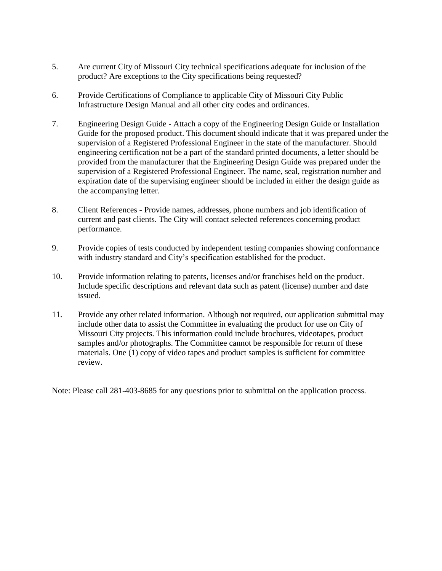- 5. Are current City of Missouri City technical specifications adequate for inclusion of the product? Are exceptions to the City specifications being requested?
- 6. Provide Certifications of Compliance to applicable City of Missouri City Public Infrastructure Design Manual and all other city codes and ordinances.
- 7. Engineering Design Guide Attach a copy of the Engineering Design Guide or Installation Guide for the proposed product. This document should indicate that it was prepared under the supervision of a Registered Professional Engineer in the state of the manufacturer. Should engineering certification not be a part of the standard printed documents, a letter should be provided from the manufacturer that the Engineering Design Guide was prepared under the supervision of a Registered Professional Engineer. The name, seal, registration number and expiration date of the supervising engineer should be included in either the design guide as the accompanying letter.
- 8. Client References Provide names, addresses, phone numbers and job identification of current and past clients. The City will contact selected references concerning product performance.
- 9. Provide copies of tests conducted by independent testing companies showing conformance with industry standard and City's specification established for the product.
- 10. Provide information relating to patents, licenses and/or franchises held on the product. Include specific descriptions and relevant data such as patent (license) number and date issued.
- 11. Provide any other related information. Although not required, our application submittal may include other data to assist the Committee in evaluating the product for use on City of Missouri City projects. This information could include brochures, videotapes, product samples and/or photographs. The Committee cannot be responsible for return of these materials. One (1) copy of video tapes and product samples is sufficient for committee review.

Note: Please call 281-403-8685 for any questions prior to submittal on the application process.